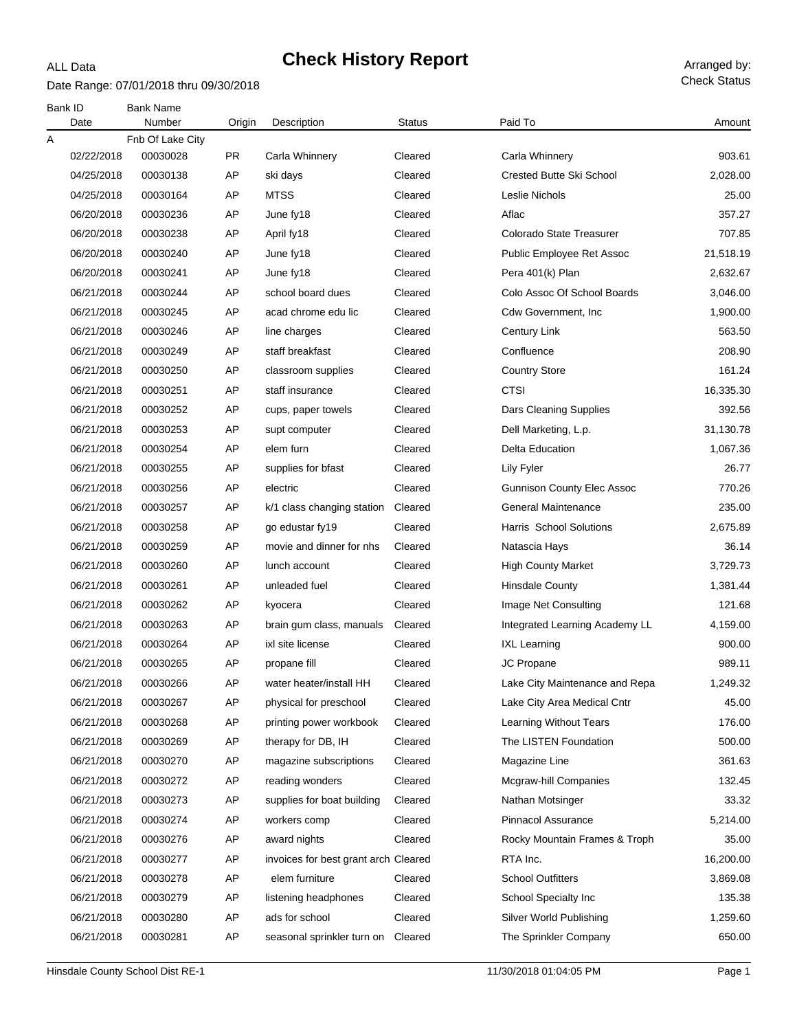#### Date Range: 07/01/2018 thru 09/30/2018

ALL Data

|   | Bank ID    | <b>Bank Name</b> |           |                                      |               |                                   |           |
|---|------------|------------------|-----------|--------------------------------------|---------------|-----------------------------------|-----------|
|   | Date       | Number           | Origin    | Description                          | <b>Status</b> | Paid To                           | Amount    |
| Α |            | Fnb Of Lake City |           |                                      |               |                                   |           |
|   | 02/22/2018 | 00030028         | <b>PR</b> | Carla Whinnery                       | Cleared       | Carla Whinnery                    | 903.61    |
|   | 04/25/2018 | 00030138         | AP        | ski days                             | Cleared       | <b>Crested Butte Ski School</b>   | 2,028.00  |
|   | 04/25/2018 | 00030164         | AP        | <b>MTSS</b>                          | Cleared       | Leslie Nichols                    | 25.00     |
|   | 06/20/2018 | 00030236         | AP        | June fy18                            | Cleared       | Aflac                             | 357.27    |
|   | 06/20/2018 | 00030238         | AP        | April fy18                           | Cleared       | Colorado State Treasurer          | 707.85    |
|   | 06/20/2018 | 00030240         | AP        | June fy18                            | Cleared       | Public Employee Ret Assoc         | 21,518.19 |
|   | 06/20/2018 | 00030241         | AP        | June fy18                            | Cleared       | Pera 401(k) Plan                  | 2,632.67  |
|   | 06/21/2018 | 00030244         | AP        | school board dues                    | Cleared       | Colo Assoc Of School Boards       | 3,046.00  |
|   | 06/21/2018 | 00030245         | AP        | acad chrome edu lic                  | Cleared       | Cdw Government, Inc.              | 1,900.00  |
|   | 06/21/2018 | 00030246         | AP        | line charges                         | Cleared       | Century Link                      | 563.50    |
|   | 06/21/2018 | 00030249         | AP        | staff breakfast                      | Cleared       | Confluence                        | 208.90    |
|   | 06/21/2018 | 00030250         | AP        | classroom supplies                   | Cleared       | <b>Country Store</b>              | 161.24    |
|   | 06/21/2018 | 00030251         | AP        | staff insurance                      | Cleared       | <b>CTSI</b>                       | 16,335.30 |
|   | 06/21/2018 | 00030252         | AP        | cups, paper towels                   | Cleared       | Dars Cleaning Supplies            | 392.56    |
|   | 06/21/2018 | 00030253         | AP        | supt computer                        | Cleared       | Dell Marketing, L.p.              | 31,130.78 |
|   | 06/21/2018 | 00030254         | AP        | elem furn                            | Cleared       | <b>Delta Education</b>            | 1,067.36  |
|   | 06/21/2018 | 00030255         | AP        | supplies for bfast                   | Cleared       | Lily Fyler                        | 26.77     |
|   | 06/21/2018 | 00030256         | AP        | electric                             | Cleared       | <b>Gunnison County Elec Assoc</b> | 770.26    |
|   | 06/21/2018 | 00030257         | AP        | k/1 class changing station           | Cleared       | General Maintenance               | 235.00    |
|   | 06/21/2018 | 00030258         | AP        | go edustar fy19                      | Cleared       | Harris School Solutions           | 2,675.89  |
|   | 06/21/2018 | 00030259         | AP        | movie and dinner for nhs             | Cleared       | Natascia Hays                     | 36.14     |
|   | 06/21/2018 | 00030260         | AP        | lunch account                        | Cleared       | <b>High County Market</b>         | 3,729.73  |
|   | 06/21/2018 | 00030261         | AP        | unleaded fuel                        | Cleared       | <b>Hinsdale County</b>            | 1,381.44  |
|   | 06/21/2018 | 00030262         | AP        | kyocera                              | Cleared       | Image Net Consulting              | 121.68    |
|   | 06/21/2018 | 00030263         | AP        | brain gum class, manuals             | Cleared       | Integrated Learning Academy LL    | 4,159.00  |
|   | 06/21/2018 | 00030264         | AP        | ixl site license                     | Cleared       | <b>IXL Learning</b>               | 900.00    |
|   | 06/21/2018 | 00030265         | AP        | propane fill                         | Cleared       | JC Propane                        | 989.11    |
|   | 06/21/2018 | 00030266         | AP        | water heater/install HH              | Cleared       | Lake City Maintenance and Repa    | 1,249.32  |
|   | 06/21/2018 | 00030267         | AP        | physical for preschool               | Cleared       | Lake City Area Medical Cntr       | 45.00     |
|   | 06/21/2018 | 00030268         | AP        | printing power workbook              | Cleared       | <b>Learning Without Tears</b>     | 176.00    |
|   | 06/21/2018 | 00030269         | AP        | therapy for DB, IH                   | Cleared       | The LISTEN Foundation             | 500.00    |
|   | 06/21/2018 | 00030270         | AP        | magazine subscriptions               | Cleared       | Magazine Line                     | 361.63    |
|   | 06/21/2018 | 00030272         | AP        | reading wonders                      | Cleared       | Mcgraw-hill Companies             | 132.45    |
|   | 06/21/2018 | 00030273         | AP        | supplies for boat building           | Cleared       | Nathan Motsinger                  | 33.32     |
|   | 06/21/2018 | 00030274         | AP        | workers comp                         | Cleared       | Pinnacol Assurance                | 5,214.00  |
|   | 06/21/2018 | 00030276         | AP        | award nights                         | Cleared       | Rocky Mountain Frames & Troph     | 35.00     |
|   | 06/21/2018 | 00030277         | AP        | invoices for best grant arch Cleared |               | RTA Inc.                          | 16,200.00 |
|   | 06/21/2018 | 00030278         | AP        | elem furniture                       | Cleared       | <b>School Outfitters</b>          | 3,869.08  |
|   | 06/21/2018 | 00030279         | AP        | listening headphones                 | Cleared       | School Specialty Inc              | 135.38    |
|   | 06/21/2018 | 00030280         | AP        | ads for school                       | Cleared       | Silver World Publishing           | 1,259.60  |
|   | 06/21/2018 | 00030281         | AP        | seasonal sprinkler turn on           | Cleared       | The Sprinkler Company             | 650.00    |
|   |            |                  |           |                                      |               |                                   |           |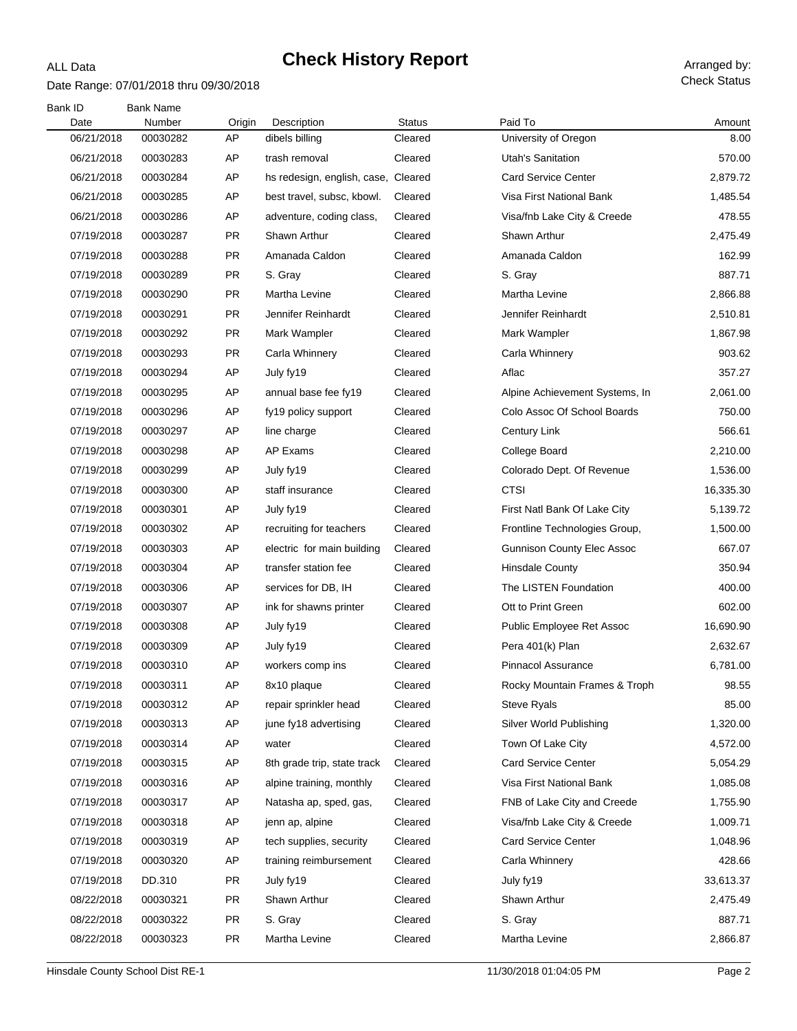### Date Range: 07/01/2018 thru 09/30/2018

ALL Data

| Bank ID<br>Date | <b>Bank Name</b><br>Number | Origin    | Description                 | <b>Status</b> | Paid To                           | Amount    |
|-----------------|----------------------------|-----------|-----------------------------|---------------|-----------------------------------|-----------|
| 06/21/2018      | 00030282                   | AP        | dibels billing              | Cleared       | University of Oregon              | 8.00      |
| 06/21/2018      | 00030283                   | AP        | trash removal               | Cleared       | <b>Utah's Sanitation</b>          | 570.00    |
| 06/21/2018      | 00030284                   | AP        | hs redesign, english, case, | Cleared       | <b>Card Service Center</b>        | 2,879.72  |
| 06/21/2018      | 00030285                   | AP        | best travel, subsc, kbowl.  | Cleared       | Visa First National Bank          | 1,485.54  |
| 06/21/2018      | 00030286                   | AP        | adventure, coding class,    | Cleared       | Visa/fnb Lake City & Creede       | 478.55    |
| 07/19/2018      | 00030287                   | PR        | Shawn Arthur                | Cleared       | Shawn Arthur                      | 2,475.49  |
| 07/19/2018      | 00030288                   | <b>PR</b> | Amanada Caldon              | Cleared       | Amanada Caldon                    | 162.99    |
| 07/19/2018      | 00030289                   | <b>PR</b> | S. Gray                     | Cleared       | S. Gray                           | 887.71    |
| 07/19/2018      | 00030290                   | PR        | Martha Levine               | Cleared       | Martha Levine                     | 2,866.88  |
| 07/19/2018      | 00030291                   | <b>PR</b> | Jennifer Reinhardt          | Cleared       | Jennifer Reinhardt                | 2,510.81  |
| 07/19/2018      | 00030292                   | <b>PR</b> | Mark Wampler                | Cleared       | Mark Wampler                      | 1,867.98  |
| 07/19/2018      | 00030293                   | <b>PR</b> | Carla Whinnery              | Cleared       | Carla Whinnery                    | 903.62    |
| 07/19/2018      | 00030294                   | AP        | July fy19                   | Cleared       | Aflac                             | 357.27    |
| 07/19/2018      | 00030295                   | AP        | annual base fee fy19        | Cleared       | Alpine Achievement Systems, In    | 2,061.00  |
| 07/19/2018      | 00030296                   | AP        | fy19 policy support         | Cleared       | Colo Assoc Of School Boards       | 750.00    |
| 07/19/2018      | 00030297                   | AP        | line charge                 | Cleared       | <b>Century Link</b>               | 566.61    |
| 07/19/2018      | 00030298                   | AP        | AP Exams                    | Cleared       | College Board                     | 2,210.00  |
| 07/19/2018      | 00030299                   | AP        | July fy19                   | Cleared       | Colorado Dept. Of Revenue         | 1,536.00  |
| 07/19/2018      | 00030300                   | AP        | staff insurance             | Cleared       | <b>CTSI</b>                       | 16,335.30 |
| 07/19/2018      | 00030301                   | AP        | July fy19                   | Cleared       | First Natl Bank Of Lake City      | 5,139.72  |
| 07/19/2018      | 00030302                   | AP        | recruiting for teachers     | Cleared       | Frontline Technologies Group,     | 1,500.00  |
| 07/19/2018      | 00030303                   | AP        | electric for main building  | Cleared       | <b>Gunnison County Elec Assoc</b> | 667.07    |
| 07/19/2018      | 00030304                   | AP        | transfer station fee        | Cleared       | <b>Hinsdale County</b>            | 350.94    |
| 07/19/2018      | 00030306                   | AP        | services for DB, IH         | Cleared       | The LISTEN Foundation             | 400.00    |
| 07/19/2018      | 00030307                   | AP        | ink for shawns printer      | Cleared       | Ott to Print Green                | 602.00    |
| 07/19/2018      | 00030308                   | AP        | July fy19                   | Cleared       | Public Employee Ret Assoc         | 16,690.90 |
| 07/19/2018      | 00030309                   | AP        | July fy19                   | Cleared       | Pera 401(k) Plan                  | 2,632.67  |
| 07/19/2018      | 00030310                   | AP        | workers comp ins            | Cleared       | Pinnacol Assurance                | 6,781.00  |
| 07/19/2018      | 00030311                   | AP        | 8x10 plaque                 | Cleared       | Rocky Mountain Frames & Troph     | 98.55     |
| 07/19/2018      | 00030312                   | AP        | repair sprinkler head       | Cleared       | <b>Steve Ryals</b>                | 85.00     |
| 07/19/2018      | 00030313                   | AP        | june fy18 advertising       | Cleared       | Silver World Publishing           | 1,320.00  |
| 07/19/2018      | 00030314                   | AP        | water                       | Cleared       | Town Of Lake City                 | 4,572.00  |
| 07/19/2018      | 00030315                   | AP        | 8th grade trip, state track | Cleared       | <b>Card Service Center</b>        | 5,054.29  |
| 07/19/2018      | 00030316                   | AP        | alpine training, monthly    | Cleared       | Visa First National Bank          | 1,085.08  |
| 07/19/2018      | 00030317                   | AP        | Natasha ap, sped, gas,      | Cleared       | FNB of Lake City and Creede       | 1,755.90  |
| 07/19/2018      | 00030318                   | AP        | jenn ap, alpine             | Cleared       | Visa/fnb Lake City & Creede       | 1,009.71  |
| 07/19/2018      | 00030319                   | AP        | tech supplies, security     | Cleared       | <b>Card Service Center</b>        | 1,048.96  |
| 07/19/2018      | 00030320                   | AP        | training reimbursement      | Cleared       | Carla Whinnery                    | 428.66    |
| 07/19/2018      | DD.310                     | <b>PR</b> | July fy19                   | Cleared       | July fy19                         | 33,613.37 |
| 08/22/2018      | 00030321                   | <b>PR</b> | Shawn Arthur                | Cleared       | Shawn Arthur                      | 2,475.49  |
| 08/22/2018      | 00030322                   | <b>PR</b> | S. Gray                     | Cleared       | S. Gray                           | 887.71    |
| 08/22/2018      | 00030323                   | <b>PR</b> | Martha Levine               | Cleared       | Martha Levine                     | 2,866.87  |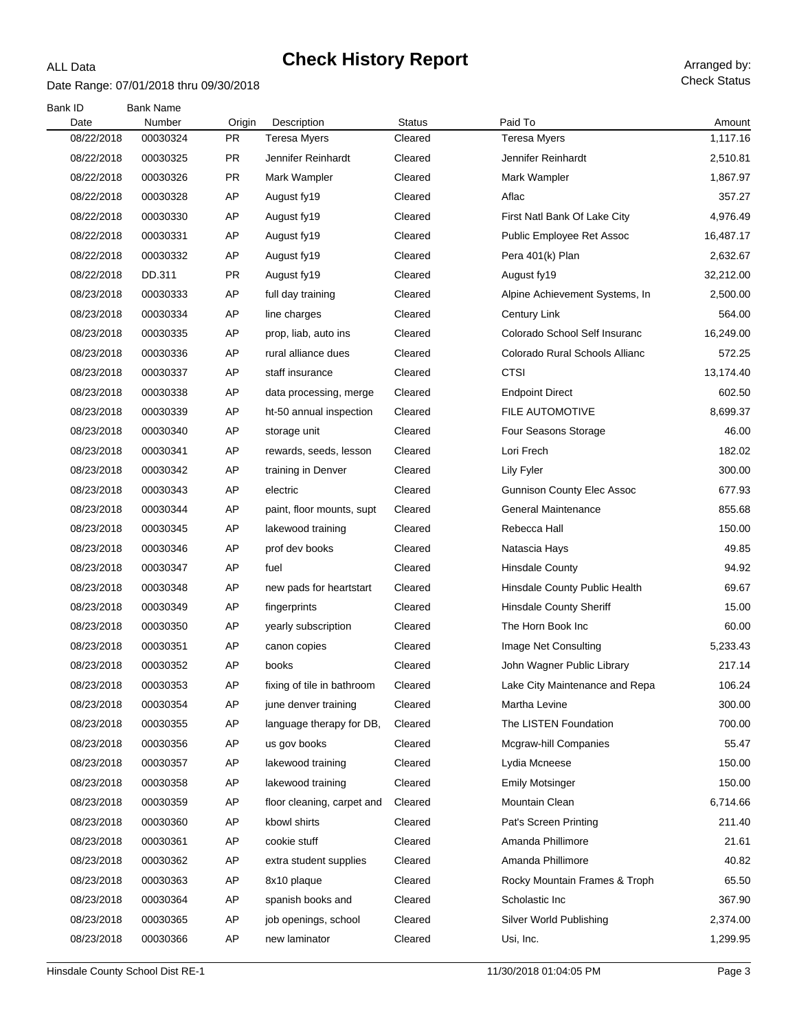#### Date Range: 07/01/2018 thru 09/30/2018

ALL Data

| Bank ID            | <b>Bank Name</b><br>Number |                     |                                    | <b>Status</b> | Paid To                           |                    |
|--------------------|----------------------------|---------------------|------------------------------------|---------------|-----------------------------------|--------------------|
| Date<br>08/22/2018 | 00030324                   | Origin<br><b>PR</b> | Description<br><b>Teresa Myers</b> | Cleared       | <b>Teresa Myers</b>               | Amount<br>1,117.16 |
| 08/22/2018         | 00030325                   | <b>PR</b>           | Jennifer Reinhardt                 | Cleared       | Jennifer Reinhardt                | 2,510.81           |
| 08/22/2018         | 00030326                   | <b>PR</b>           | Mark Wampler                       | Cleared       | Mark Wampler                      | 1,867.97           |
| 08/22/2018         | 00030328                   | AP                  | August fy19                        | Cleared       | Aflac                             | 357.27             |
| 08/22/2018         | 00030330                   | AP                  | August fy19                        | Cleared       | First Natl Bank Of Lake City      | 4,976.49           |
| 08/22/2018         | 00030331                   | AP                  | August fy19                        | Cleared       | Public Employee Ret Assoc         | 16,487.17          |
| 08/22/2018         | 00030332                   | AP                  | August fy19                        | Cleared       | Pera 401(k) Plan                  | 2,632.67           |
| 08/22/2018         | DD.311                     | <b>PR</b>           | August fy19                        | Cleared       | August fy19                       | 32,212.00          |
| 08/23/2018         | 00030333                   | AP                  | full day training                  | Cleared       | Alpine Achievement Systems, In    | 2,500.00           |
| 08/23/2018         | 00030334                   | AP                  | line charges                       | Cleared       | Century Link                      | 564.00             |
| 08/23/2018         | 00030335                   | AP                  | prop, liab, auto ins               | Cleared       | Colorado School Self Insuranc     | 16,249.00          |
| 08/23/2018         | 00030336                   | AP                  | rural alliance dues                |               | Colorado Rural Schools Allianc    | 572.25             |
|                    |                            |                     |                                    | Cleared       |                                   |                    |
| 08/23/2018         | 00030337                   | AP                  | staff insurance                    | Cleared       | <b>CTSI</b>                       | 13,174.40          |
| 08/23/2018         | 00030338                   | AP                  | data processing, merge             | Cleared       | <b>Endpoint Direct</b>            | 602.50             |
| 08/23/2018         | 00030339                   | AP                  | ht-50 annual inspection            | Cleared       | FILE AUTOMOTIVE                   | 8,699.37           |
| 08/23/2018         | 00030340                   | AP                  | storage unit                       | Cleared       | Four Seasons Storage              | 46.00              |
| 08/23/2018         | 00030341                   | AP                  | rewards, seeds, lesson             | Cleared       | Lori Frech                        | 182.02             |
| 08/23/2018         | 00030342                   | AP                  | training in Denver                 | Cleared       | Lily Fyler                        | 300.00             |
| 08/23/2018         | 00030343                   | AP                  | electric                           | Cleared       | <b>Gunnison County Elec Assoc</b> | 677.93             |
| 08/23/2018         | 00030344                   | AP                  | paint, floor mounts, supt          | Cleared       | General Maintenance               | 855.68             |
| 08/23/2018         | 00030345                   | AP                  | lakewood training                  | Cleared       | Rebecca Hall                      | 150.00             |
| 08/23/2018         | 00030346                   | AP                  | prof dev books                     | Cleared       | Natascia Hays                     | 49.85              |
| 08/23/2018         | 00030347                   | AP                  | fuel                               | Cleared       | <b>Hinsdale County</b>            | 94.92              |
| 08/23/2018         | 00030348                   | AP                  | new pads for heartstart            | Cleared       | Hinsdale County Public Health     | 69.67              |
| 08/23/2018         | 00030349                   | AP                  | fingerprints                       | Cleared       | <b>Hinsdale County Sheriff</b>    | 15.00              |
| 08/23/2018         | 00030350                   | AP                  | yearly subscription                | Cleared       | The Horn Book Inc                 | 60.00              |
| 08/23/2018         | 00030351                   | AP                  | canon copies                       | Cleared       | Image Net Consulting              | 5,233.43           |
| 08/23/2018         | 00030352                   | AP                  | books                              | Cleared       | John Wagner Public Library        | 217.14             |
| 08/23/2018         | 00030353                   | AP                  | fixing of tile in bathroom         | Cleared       | Lake City Maintenance and Repa    | 106.24             |
| 08/23/2018         | 00030354                   | AP                  | june denver training               | Cleared       | Martha Levine                     | 300.00             |
| 08/23/2018         | 00030355                   | AP                  | language therapy for DB,           | Cleared       | The LISTEN Foundation             | 700.00             |
| 08/23/2018         | 00030356                   | AP                  | us gov books                       | Cleared       | <b>Mcgraw-hill Companies</b>      | 55.47              |
| 08/23/2018         | 00030357                   | AP                  | lakewood training                  | Cleared       | Lydia Mcneese                     | 150.00             |
| 08/23/2018         | 00030358                   | AP                  | lakewood training                  | Cleared       | <b>Emily Motsinger</b>            | 150.00             |
| 08/23/2018         | 00030359                   | AΡ                  | floor cleaning, carpet and         | Cleared       | Mountain Clean                    | 6,714.66           |
| 08/23/2018         | 00030360                   | AP                  | kbowl shirts                       | Cleared       | Pat's Screen Printing             | 211.40             |
| 08/23/2018         | 00030361                   | AΡ                  | cookie stuff                       | Cleared       | Amanda Phillimore                 | 21.61              |
| 08/23/2018         | 00030362                   | AP                  | extra student supplies             | Cleared       | Amanda Phillimore                 | 40.82              |
| 08/23/2018         | 00030363                   | AΡ                  | 8x10 plaque                        | Cleared       | Rocky Mountain Frames & Troph     | 65.50              |
| 08/23/2018         | 00030364                   | AP                  | spanish books and                  | Cleared       | Scholastic Inc                    | 367.90             |
| 08/23/2018         | 00030365                   | AP                  | job openings, school               | Cleared       | Silver World Publishing           | 2,374.00           |
| 08/23/2018         | 00030366                   | AP                  | new laminator                      | Cleared       | Usi, Inc.                         | 1,299.95           |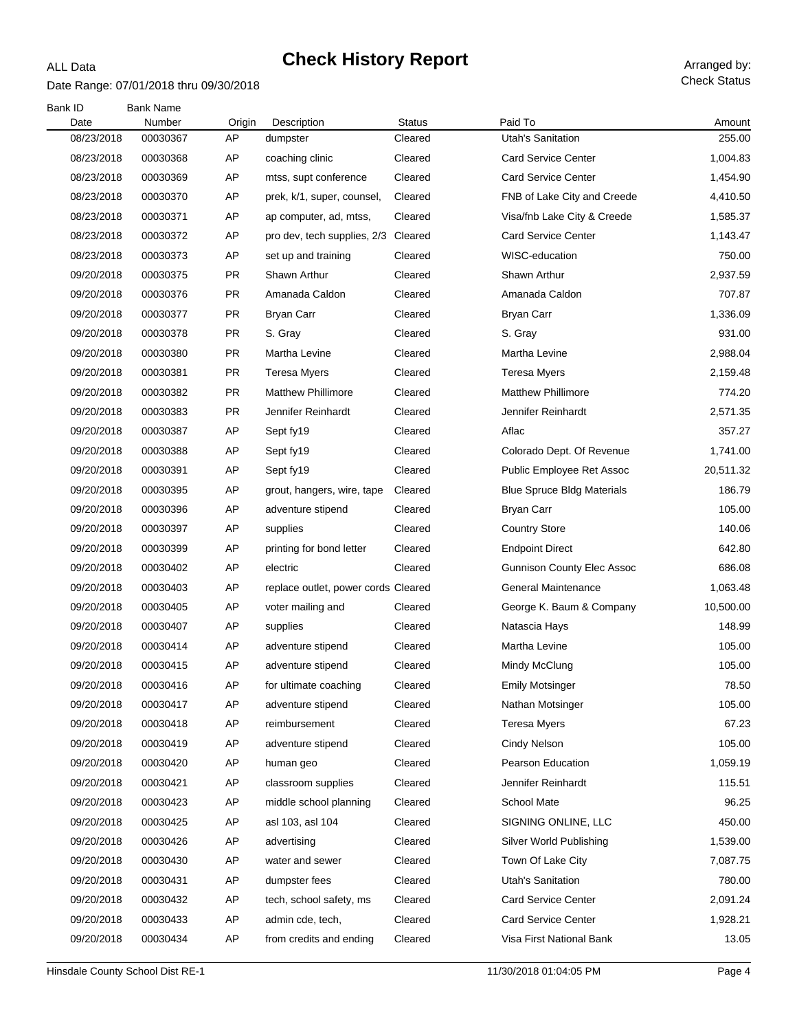#### Date Range: 07/01/2018 thru 09/30/2018

ALL Data

| Bank ID    | <b>Bank Name</b> |           |                                     |               |                                   |           |
|------------|------------------|-----------|-------------------------------------|---------------|-----------------------------------|-----------|
| Date       | Number           | Origin    | Description                         | <b>Status</b> | Paid To                           | Amount    |
| 08/23/2018 | 00030367         | AP        | dumpster                            | Cleared       | <b>Utah's Sanitation</b>          | 255.00    |
| 08/23/2018 | 00030368         | AP        | coaching clinic                     | Cleared       | <b>Card Service Center</b>        | 1,004.83  |
| 08/23/2018 | 00030369         | AP        | mtss, supt conference               | Cleared       | <b>Card Service Center</b>        | 1,454.90  |
| 08/23/2018 | 00030370         | AP        | prek, k/1, super, counsel,          | Cleared       | FNB of Lake City and Creede       | 4,410.50  |
| 08/23/2018 | 00030371         | AP        | ap computer, ad, mtss,              | Cleared       | Visa/fnb Lake City & Creede       | 1,585.37  |
| 08/23/2018 | 00030372         | AP        | pro dev, tech supplies, 2/3 Cleared |               | <b>Card Service Center</b>        | 1,143.47  |
| 08/23/2018 | 00030373         | AP        | set up and training                 | Cleared       | WISC-education                    | 750.00    |
| 09/20/2018 | 00030375         | PR        | Shawn Arthur                        | Cleared       | Shawn Arthur                      | 2,937.59  |
| 09/20/2018 | 00030376         | PR        | Amanada Caldon                      | Cleared       | Amanada Caldon                    | 707.87    |
| 09/20/2018 | 00030377         | PR        | Bryan Carr                          | Cleared       | <b>Bryan Carr</b>                 | 1,336.09  |
| 09/20/2018 | 00030378         | PR        | S. Gray                             | Cleared       | S. Gray                           | 931.00    |
| 09/20/2018 | 00030380         | PR        | Martha Levine                       | Cleared       | Martha Levine                     | 2,988.04  |
| 09/20/2018 | 00030381         | <b>PR</b> | Teresa Myers                        | Cleared       | Teresa Myers                      | 2,159.48  |
| 09/20/2018 | 00030382         | <b>PR</b> | <b>Matthew Phillimore</b>           | Cleared       | <b>Matthew Phillimore</b>         | 774.20    |
| 09/20/2018 | 00030383         | <b>PR</b> | Jennifer Reinhardt                  | Cleared       | Jennifer Reinhardt                | 2,571.35  |
| 09/20/2018 | 00030387         | AP        | Sept fy19                           | Cleared       | Aflac                             | 357.27    |
| 09/20/2018 | 00030388         | AP        | Sept fy19                           | Cleared       | Colorado Dept. Of Revenue         | 1,741.00  |
| 09/20/2018 | 00030391         | AP        | Sept fy19                           | Cleared       | Public Employee Ret Assoc         | 20,511.32 |
| 09/20/2018 | 00030395         | AP        | grout, hangers, wire, tape          | Cleared       | <b>Blue Spruce Bldg Materials</b> | 186.79    |
| 09/20/2018 | 00030396         | AP        | adventure stipend                   | Cleared       | <b>Bryan Carr</b>                 | 105.00    |
| 09/20/2018 | 00030397         | AP        | supplies                            | Cleared       | <b>Country Store</b>              | 140.06    |
| 09/20/2018 | 00030399         | AP        | printing for bond letter            | Cleared       | <b>Endpoint Direct</b>            | 642.80    |
| 09/20/2018 | 00030402         | AP        | electric                            | Cleared       | <b>Gunnison County Elec Assoc</b> | 686.08    |
| 09/20/2018 | 00030403         | AP        | replace outlet, power cords Cleared |               | <b>General Maintenance</b>        | 1,063.48  |
| 09/20/2018 | 00030405         | AP        | voter mailing and                   | Cleared       | George K. Baum & Company          | 10,500.00 |
| 09/20/2018 | 00030407         | AP        | supplies                            | Cleared       | Natascia Hays                     | 148.99    |
| 09/20/2018 | 00030414         | AP        | adventure stipend                   | Cleared       | Martha Levine                     | 105.00    |
| 09/20/2018 | 00030415         | AP        | adventure stipend                   | Cleared       | Mindy McClung                     | 105.00    |
| 09/20/2018 | 00030416         | AP        | for ultimate coaching               | Cleared       | <b>Emily Motsinger</b>            | 78.50     |
| 09/20/2018 | 00030417         | AP        | adventure stipend                   | Cleared       | Nathan Motsinger                  | 105.00    |
| 09/20/2018 | 00030418         | AP        | reimbursement                       | Cleared       | Teresa Myers                      | 67.23     |
| 09/20/2018 | 00030419         | AP        | adventure stipend                   | Cleared       | Cindy Nelson                      | 105.00    |
| 09/20/2018 | 00030420         | AP        | human geo                           | Cleared       | Pearson Education                 | 1,059.19  |
| 09/20/2018 | 00030421         | AP        | classroom supplies                  | Cleared       | Jennifer Reinhardt                | 115.51    |
| 09/20/2018 | 00030423         | AP        | middle school planning              | Cleared       | School Mate                       | 96.25     |
| 09/20/2018 | 00030425         | AP        | asl 103, asl 104                    | Cleared       | SIGNING ONLINE, LLC               | 450.00    |
| 09/20/2018 | 00030426         | AP        | advertising                         | Cleared       | Silver World Publishing           | 1,539.00  |
| 09/20/2018 | 00030430         | AP        | water and sewer                     | Cleared       | Town Of Lake City                 | 7,087.75  |
| 09/20/2018 | 00030431         | AP        | dumpster fees                       | Cleared       | Utah's Sanitation                 | 780.00    |
| 09/20/2018 | 00030432         | AP        | tech, school safety, ms             | Cleared       | <b>Card Service Center</b>        | 2,091.24  |
| 09/20/2018 | 00030433         | AP        | admin cde, tech,                    | Cleared       | <b>Card Service Center</b>        | 1,928.21  |
| 09/20/2018 | 00030434         | AP        | from credits and ending             | Cleared       | Visa First National Bank          | 13.05     |
|            |                  |           |                                     |               |                                   |           |